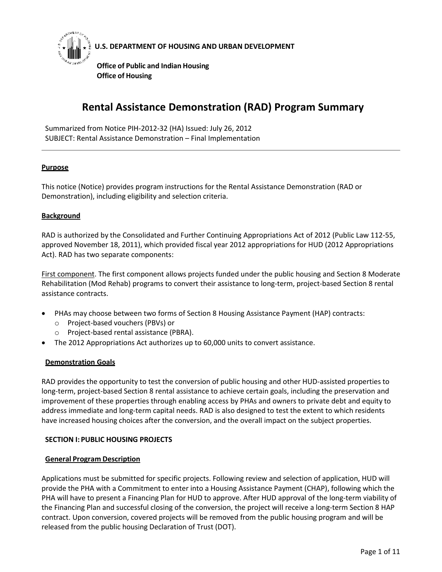

# **U.S. DEPARTMENT OF HOUSING AND URBAN DEVELOPMENT**

**Office of Public and Indian Housing Office of Housing**

# **Rental Assistance Demonstration (RAD) Program Summary**

Summarized from Notice PIH-2012-32 (HA) Issued: July 26, 2012 SUBJECT: Rental Assistance Demonstration – Final Implementation

### **Purpose**

This notice (Notice) provides program instructions for the Rental Assistance Demonstration (RAD or Demonstration), including eligibility and selection criteria.

#### **Background**

RAD is authorized by the Consolidated and Further Continuing Appropriations Act of 2012 (Public Law 112-55, approved November 18, 2011), which provided fiscal year 2012 appropriations for HUD (2012 Appropriations Act). RAD has two separate components:

First component. The first component allows projects funded under the public housing and Section 8 Moderate Rehabilitation (Mod Rehab) programs to convert their assistance to long-term, project-based Section 8 rental assistance contracts.

- PHAs may choose between two forms of Section 8 Housing Assistance Payment (HAP) contracts:
	- o Project-based vouchers (PBVs) or
	- o Project-based rental assistance (PBRA).
- The 2012 Appropriations Act authorizes up to 60,000 units to convert assistance.

### **Demonstration Goals**

RAD provides the opportunity to test the conversion of public housing and other HUD-assisted properties to long-term, project-based Section 8 rental assistance to achieve certain goals, including the preservation and improvement of these properties through enabling access by PHAs and owners to private debt and equity to address immediate and long-term capital needs. RAD is also designed to test the extent to which residents have increased housing choices after the conversion, and the overall impact on the subject properties.

### **SECTION I: PUBLIC HOUSING PROJECTS**

#### **General Program Description**

Applications must be submitted for specific projects. Following review and selection of application, HUD will provide the PHA with a Commitment to enter into a Housing Assistance Payment (CHAP), following which the PHA will have to present a Financing Plan for HUD to approve. After HUD approval of the long-term viability of the Financing Plan and successful closing of the conversion, the project will receive a long-term Section 8 HAP contract. Upon conversion, covered projects will be removed from the public housing program and will be released from the public housing Declaration of Trust (DOT).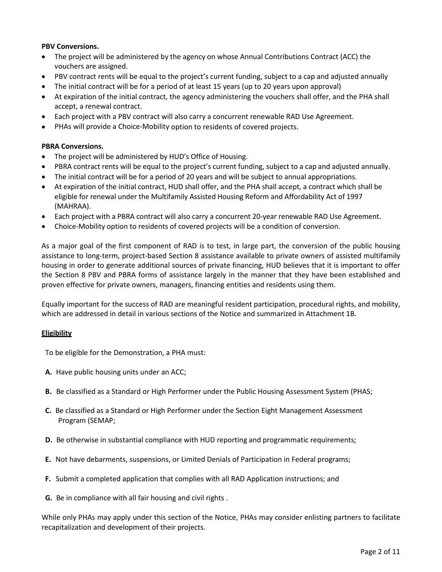## **PBV Conversions.**

- The project will be administered by the agency on whose Annual Contributions Contract (ACC) the vouchers are assigned.
- PBV contract rents will be equal to the project's current funding, subject to a cap and adjusted annually
- The initial contract will be for a period of at least 15 years (up to 20 years upon approval)
- At expiration of the initial contract, the agency administering the vouchers shall offer, and the PHA shall accept, a renewal contract.
- Each project with a PBV contract will also carry a concurrent renewable RAD Use Agreement.
- PHAs will provide a Choice-Mobility option to residents of covered projects.

### **PBRA Conversions.**

- The project will be administered by HUD's Office of Housing.
- PBRA contract rents will be equal to the project's current funding, subject to a cap and adjusted annually.
- The initial contract will be for a period of 20 years and will be subject to annual appropriations.
- At expiration of the initial contract, HUD shall offer, and the PHA shall accept, a contract which shall be eligible for renewal under the Multifamily Assisted Housing Reform and Affordability Act of 1997 (MAHRAA).
- Each project with a PBRA contract will also carry a concurrent 20-year renewable RAD Use Agreement.
- Choice-Mobility option to residents of covered projects will be a condition of conversion.

As a major goal of the first component of RAD is to test, in large part, the conversion of the public housing assistance to long-term, project-based Section 8 assistance available to private owners of assisted multifamily housing in order to generate additional sources of private financing, HUD believes that it is important to offer the Section 8 PBV and PBRA forms of assistance largely in the manner that they have been established and proven effective for private owners, managers, financing entities and residents using them.

Equally important for the success of RAD are meaningful resident participation, procedural rights, and mobility, which are addressed in detail in various sections of the Notice and summarized in Attachment 1B.

### **Eligibility**

To be eligible for the Demonstration, a PHA must:

- **A.** Have public housing units under an ACC;
- **B.** Be classified as a Standard or High Performer under the Public Housing Assessment System (PHAS;
- **C.** Be classified as a Standard or High Performer under the Section Eight Management Assessment Program (SEMAP;
- **D.** Be otherwise in substantial compliance with HUD reporting and programmatic requirements;
- **E.** Not have debarments, suspensions, or Limited Denials of Participation in Federal programs;
- **F.** Submit a completed application that complies with all RAD Application instructions; and
- **G.** Be in compliance with all fair housing and civil rights .

While only PHAs may apply under this section of the Notice, PHAs may consider enlisting partners to facilitate recapitalization and development of their projects.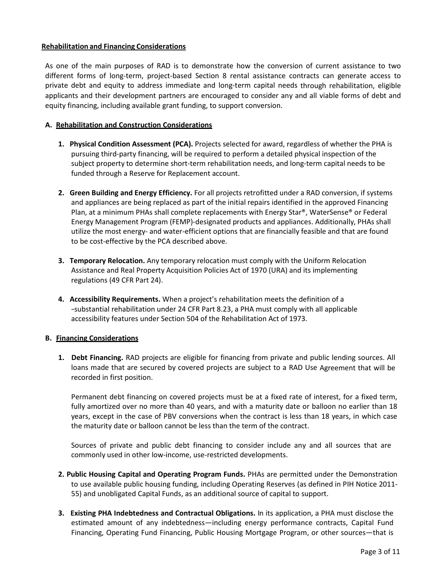### **Rehabilitation and Financing Considerations**

As one of the main purposes of RAD is to demonstrate how the conversion of current assistance to two different forms of long-term, project-based Section 8 rental assistance contracts can generate access to private debt and equity to address immediate and long-term capital needs through rehabilitation, eligible applicants and their development partners are encouraged to consider any and all viable forms of debt and equity financing, including available grant funding, to support conversion.

#### **A. Rehabilitation and Construction Considerations**

- **1. Physical Condition Assessment (PCA).** Projects selected for award, regardless of whether the PHA is pursuing third-party financing, will be required to perform a detailed physical inspection of the subject property to determine short-term rehabilitation needs, and long-term capital needs to be funded through a Reserve for Replacement account.
- **2. Green Building and Energy Efficiency.** For all projects retrofitted under a RAD conversion, if systems and appliances are being replaced as part of the initial repairs identified in the approved Financing Plan, at a minimum PHAs shall complete replacements with Energy Star®, WaterSense® or Federal Energy Management Program (FEMP)-designated products and appliances. Additionally, PHAs shall utilize the most energy- and water-efficient options that are financially feasible and that are found to be cost-effective by the PCA described above.
- **3. Temporary Relocation.** Any temporary relocation must comply with the Uniform Relocation Assistance and Real Property Acquisition Policies Act of 1970 (URA) and its implementing regulations (49 CFR Part 24).
- **4. Accessibility Requirements.** When a project's rehabilitation meets the definition of a ―substantial rehabilitation under 24 CFR Part 8.23, a PHA must comply with all applicable accessibility features under Section 504 of the Rehabilitation Act of 1973.

#### **B. Financing Considerations**

**1. Debt Financing.** RAD projects are eligible for financing from private and public lending sources. All loans made that are secured by covered projects are subject to a RAD Use Agreement that will be recorded in first position.

Permanent debt financing on covered projects must be at a fixed rate of interest, for a fixed term, fully amortized over no more than 40 years, and with a maturity date or balloon no earlier than 18 years, except in the case of PBV conversions when the contract is less than 18 years, in which case the maturity date or balloon cannot be less than the term of the contract.

Sources of private and public debt financing to consider include any and all sources that are commonly used in other low-income, use-restricted developments.

- **2. Public Housing Capital and Operating Program Funds.** PHAs are permitted under the Demonstration to use available public housing funding, including Operating Reserves (as defined in PIH Notice 2011- 55) and unobligated Capital Funds, as an additional source of capital to support.
- **3. Existing PHA Indebtedness and Contractual Obligations.** In its application, a PHA must disclose the estimated amount of any indebtedness—including energy performance contracts, Capital Fund Financing, Operating Fund Financing, Public Housing Mortgage Program, or other sources—that is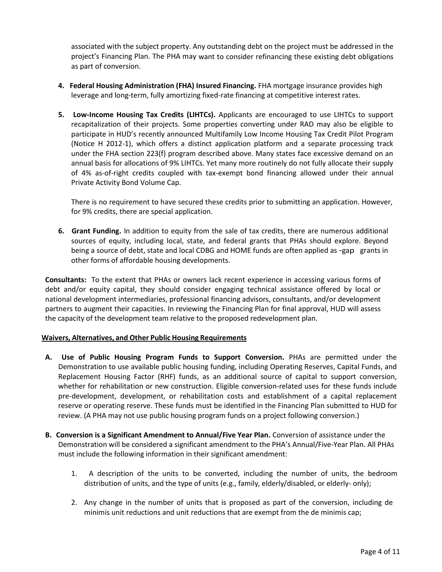associated with the subject property. Any outstanding debt on the project must be addressed in the project's Financing Plan. The PHA may want to consider refinancing these existing debt obligations as part of conversion.

- **4. Federal Housing Administration (FHA) Insured Financing.** FHA mortgage insurance provides high leverage and long-term, fully amortizing fixed-rate financing at competitive interest rates.
- **5. Low-Income Housing Tax Credits (LIHTCs).** Applicants are encouraged to use LIHTCs to support recapitalization of their projects. Some properties converting under RAD may also be eligible to participate in HUD's recently announced Multifamily Low Income Housing Tax Credit Pilot Program (Notice H 2012-1), which offers a distinct application platform and a separate processing track under the FHA section 223(f) program described above. Many states face excessive demand on an annual basis for allocations of 9% LIHTCs. Yet many more routinely do not fully allocate their supply of 4% as-of-right credits coupled with tax-exempt bond financing allowed under their annual Private Activity Bond Volume Cap.

There is no requirement to have secured these credits prior to submitting an application. However, for 9% credits, there are special application.

**6. Grant Funding.** In addition to equity from the sale of tax credits, there are numerous additional sources of equity, including local, state, and federal grants that PHAs should explore. Beyond being a source of debt, state and local CDBG and HOME funds are often applied as -gap grants in other forms of affordable housing developments.

**Consultants:** To the extent that PHAs or owners lack recent experience in accessing various forms of debt and/or equity capital, they should consider engaging technical assistance offered by local or national development intermediaries, professional financing advisors, consultants, and/or development partners to augment their capacities. In reviewing the Financing Plan for final approval, HUD will assess the capacity of the development team relative to the proposed redevelopment plan.

### **Waivers, Alternatives, and Other Public Housing Requirements**

- **A. Use of Public Housing Program Funds to Support Conversion.** PHAs are permitted under the Demonstration to use available public housing funding, including Operating Reserves, Capital Funds, and Replacement Housing Factor (RHF) funds, as an additional source of capital to support conversion, whether for rehabilitation or new construction. Eligible conversion-related uses for these funds include pre-development, development, or rehabilitation costs and establishment of a capital replacement reserve or operating reserve. These funds must be identified in the Financing Plan submitted to HUD for review. (A PHA may not use public housing program funds on a project following conversion.)
- **B. Conversion is a Significant Amendment to Annual/Five Year Plan.** Conversion of assistance under the Demonstration will be considered a significant amendment to the PHA's Annual/Five-Year Plan. All PHAs must include the following information in their significant amendment:
	- 1. A description of the units to be converted, including the number of units, the bedroom distribution of units, and the type of units (e.g., family, elderly/disabled, or elderly- only);
	- 2. Any change in the number of units that is proposed as part of the conversion, including de minimis unit reductions and unit reductions that are exempt from the de minimis cap;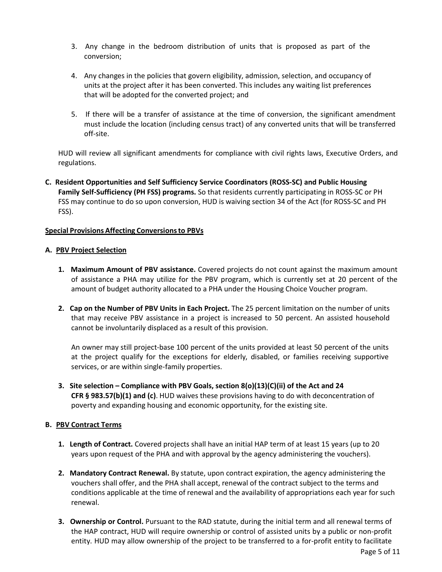- 3. Any change in the bedroom distribution of units that is proposed as part of the conversion;
- 4. Any changes in the policies that govern eligibility, admission, selection, and occupancy of units at the project after it has been converted. This includes any waiting list preferences that will be adopted for the converted project; and
- 5. If there will be a transfer of assistance at the time of conversion, the significant amendment must include the location (including census tract) of any converted units that will be transferred off-site.

HUD will review all significant amendments for compliance with civil rights laws, Executive Orders, and regulations.

**C. Resident Opportunities and Self Sufficiency Service Coordinators (ROSS-SC) and Public Housing Family Self-Sufficiency (PH FSS) programs.** So that residents currently participating in ROSS-SC or PH FSS may continue to do so upon conversion, HUD is waiving section 34 of the Act (for ROSS-SC and PH FSS).

### **Special Provisions Affecting Conversionsto PBVs**

#### **A. PBV Project Selection**

- **1. Maximum Amount of PBV assistance.** Covered projects do not count against the maximum amount of assistance a PHA may utilize for the PBV program, which is currently set at 20 percent of the amount of budget authority allocated to a PHA under the Housing Choice Voucher program.
- **2. Cap on the Number of PBV Units in Each Project.** The 25 percent limitation on the number of units that may receive PBV assistance in a project is increased to 50 percent. An assisted household cannot be involuntarily displaced as a result of this provision.

An owner may still project-base 100 percent of the units provided at least 50 percent of the units at the project qualify for the exceptions for elderly, disabled, or families receiving supportive services, or are within single-family properties.

**3. Site selection – Compliance with PBV Goals, section 8(o)(13)(C)(ii) of the Act and 24 CFR § 983.57(b)(1) and (c)**. HUD waives these provisions having to do with deconcentration of poverty and expanding housing and economic opportunity, for the existing site.

### **B. PBV Contract Terms**

- **1. Length of Contract.** Covered projects shall have an initial HAP term of at least 15 years (up to 20 years upon request of the PHA and with approval by the agency administering the vouchers).
- **2. Mandatory Contract Renewal.** By statute, upon contract expiration, the agency administering the vouchers shall offer, and the PHA shall accept, renewal of the contract subject to the terms and conditions applicable at the time of renewal and the availability of appropriations each year for such renewal.
- **3. Ownership or Control.** Pursuant to the RAD statute, during the initial term and all renewal terms of the HAP contract, HUD will require ownership or control of assisted units by a public or non-profit entity. HUD may allow ownership of the project to be transferred to a for-profit entity to facilitate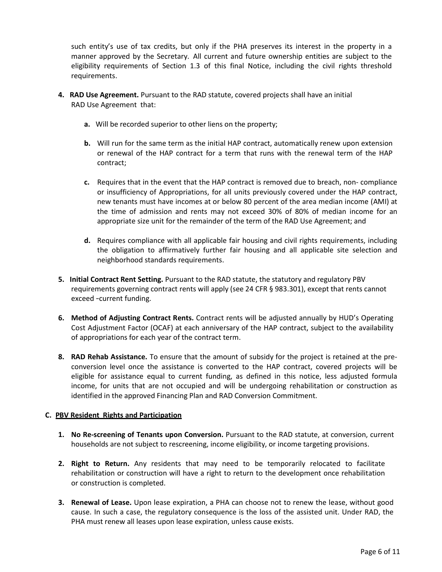such entity's use of tax credits, but only if the PHA preserves its interest in the property in a manner approved by the Secretary. All current and future ownership entities are subject to the eligibility requirements of Section 1.3 of this final Notice, including the civil rights threshold requirements.

- **4. RAD Use Agreement.** Pursuant to the RAD statute, covered projects shall have an initial RAD Use Agreement that:
	- **a.** Will be recorded superior to other liens on the property;
	- **b.** Will run for the same term as the initial HAP contract, automatically renew upon extension or renewal of the HAP contract for a term that runs with the renewal term of the HAP contract;
	- **c.** Requires that in the event that the HAP contract is removed due to breach, non- compliance or insufficiency of Appropriations, for all units previously covered under the HAP contract, new tenants must have incomes at or below 80 percent of the area median income (AMI) at the time of admission and rents may not exceed 30% of 80% of median income for an appropriate size unit for the remainder of the term of the RAD Use Agreement; and
	- **d.** Requires compliance with all applicable fair housing and civil rights requirements, including the obligation to affirmatively further fair housing and all applicable site selection and neighborhood standards requirements.
- **5. Initial Contract Rent Setting.** Pursuant to the RAD statute, the statutory and regulatory PBV requirements governing contract rents will apply (see 24 CFR § 983.301), except that rents cannot exceed ―current funding.
- **6. Method of Adjusting Contract Rents.** Contract rents will be adjusted annually by HUD's Operating Cost Adjustment Factor (OCAF) at each anniversary of the HAP contract, subject to the availability of appropriations for each year of the contract term.
- **8. RAD Rehab Assistance.** To ensure that the amount of subsidy for the project is retained at the preconversion level once the assistance is converted to the HAP contract, covered projects will be eligible for assistance equal to current funding, as defined in this notice, less adjusted formula income, for units that are not occupied and will be undergoing rehabilitation or construction as identified in the approved Financing Plan and RAD Conversion Commitment.

# **C. PBV Resident Rights and Participation**

- **1. No Re-screening of Tenants upon Conversion.** Pursuant to the RAD statute, at conversion, current households are not subject to rescreening, income eligibility, or income targeting provisions.
- **2. Right to Return.** Any residents that may need to be temporarily relocated to facilitate rehabilitation or construction will have a right to return to the development once rehabilitation or construction is completed.
- **3. Renewal of Lease.** Upon lease expiration, a PHA can choose not to renew the lease, without good cause. In such a case, the regulatory consequence is the loss of the assisted unit. Under RAD, the PHA must renew all leases upon lease expiration, unless cause exists.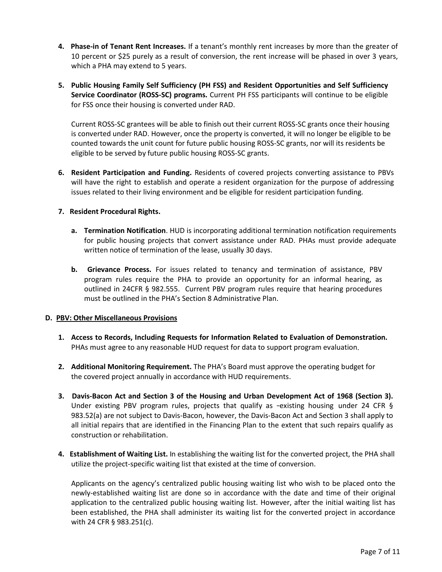- **4. Phase-in of Tenant Rent Increases.** If a tenant's monthly rent increases by more than the greater of 10 percent or \$25 purely as a result of conversion, the rent increase will be phased in over 3 years, which a PHA may extend to 5 years.
- **5. Public Housing Family Self Sufficiency (PH FSS) and Resident Opportunities and Self Sufficiency Service Coordinator (ROSS-SC) programs.** Current PH FSS participants will continue to be eligible for FSS once their housing is converted under RAD.

Current ROSS-SC grantees will be able to finish out their current ROSS-SC grants once their housing is converted under RAD. However, once the property is converted, it will no longer be eligible to be counted towards the unit count for future public housing ROSS-SC grants, nor will its residents be eligible to be served by future public housing ROSS-SC grants.

**6. Resident Participation and Funding.** Residents of covered projects converting assistance to PBVs will have the right to establish and operate a resident organization for the purpose of addressing issues related to their living environment and be eligible for resident participation funding.

## **7. Resident Procedural Rights.**

- **a. Termination Notification**. HUD is incorporating additional termination notification requirements for public housing projects that convert assistance under RAD. PHAs must provide adequate written notice of termination of the lease, usually 30 days.
- **b. Grievance Process.** For issues related to tenancy and termination of assistance, PBV program rules require the PHA to provide an opportunity for an informal hearing, as outlined in 24CFR § 982.555. Current PBV program rules require that hearing procedures must be outlined in the PHA's Section 8 Administrative Plan.

### **D. PBV: Other Miscellaneous Provisions**

- **1. Access to Records, Including Requests for Information Related to Evaluation of Demonstration.** PHAs must agree to any reasonable HUD request for data to support program evaluation.
- **2. Additional Monitoring Requirement.** The PHA's Board must approve the operating budget for the covered project annually in accordance with HUD requirements.
- **3. Davis-Bacon Act and Section 3 of the Housing and Urban Development Act of 1968 (Section 3).**  Under existing PBV program rules, projects that qualify as -existing housing under 24 CFR  $\S$ 983.52(a) are not subject to Davis-Bacon, however, the Davis-Bacon Act and Section 3 shall apply to all initial repairs that are identified in the Financing Plan to the extent that such repairs qualify as construction or rehabilitation.
- **4. Establishment of Waiting List.** In establishing the waiting list for the converted project, the PHA shall utilize the project-specific waiting list that existed at the time of conversion.

Applicants on the agency's centralized public housing waiting list who wish to be placed onto the newly-established waiting list are done so in accordance with the date and time of their original application to the centralized public housing waiting list. However, after the initial waiting list has been established, the PHA shall administer its waiting list for the converted project in accordance with 24 CFR § 983.251(c).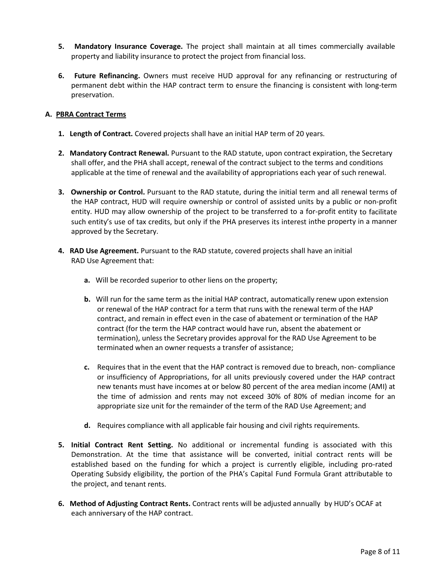- **5. Mandatory Insurance Coverage.** The project shall maintain at all times commercially available property and liability insurance to protect the project from financial loss.
- **6. Future Refinancing.** Owners must receive HUD approval for any refinancing or restructuring of permanent debt within the HAP contract term to ensure the financing is consistent with long-term preservation.

## **A. PBRA Contract Terms**

- **1. Length of Contract.** Covered projects shall have an initial HAP term of 20 years.
- **2. Mandatory Contract Renewal.** Pursuant to the RAD statute, upon contract expiration, the Secretary shall offer, and the PHA shall accept, renewal of the contract subject to the terms and conditions applicable at the time of renewal and the availability of appropriations each year of such renewal.
- **3. Ownership or Control.** Pursuant to the RAD statute, during the initial term and all renewal terms of the HAP contract, HUD will require ownership or control of assisted units by a public or non-profit entity. HUD may allow ownership of the project to be transferred to a for-profit entity to facilitate such entity's use of tax credits, but only if the PHA preserves its interest inthe property in a manner approved by the Secretary.
- **4. RAD Use Agreement.** Pursuant to the RAD statute, covered projects shall have an initial RAD Use Agreement that:
	- **a.** Will be recorded superior to other liens on the property;
	- **b.** Will run for the same term as the initial HAP contract, automatically renew upon extension or renewal of the HAP contract for a term that runs with the renewal term of the HAP contract, and remain in effect even in the case of abatement or termination of the HAP contract (for the term the HAP contract would have run, absent the abatement or termination), unless the Secretary provides approval for the RAD Use Agreement to be terminated when an owner requests a transfer of assistance;
	- **c.** Requires that in the event that the HAP contract is removed due to breach, non- compliance or insufficiency of Appropriations, for all units previously covered under the HAP contract new tenants must have incomes at or below 80 percent of the area median income (AMI) at the time of admission and rents may not exceed 30% of 80% of median income for an appropriate size unit for the remainder of the term of the RAD Use Agreement; and
	- **d.** Requires compliance with all applicable fair housing and civil rights requirements.
- **5. Initial Contract Rent Setting.** No additional or incremental funding is associated with this Demonstration. At the time that assistance will be converted, initial contract rents will be established based on the funding for which a project is currently eligible, including pro-rated Operating Subsidy eligibility, the portion of the PHA's Capital Fund Formula Grant attributable to the project, and tenant rents.
- **6. Method of Adjusting Contract Rents.** Contract rents will be adjusted annually by HUD's OCAF at each anniversary of the HAP contract.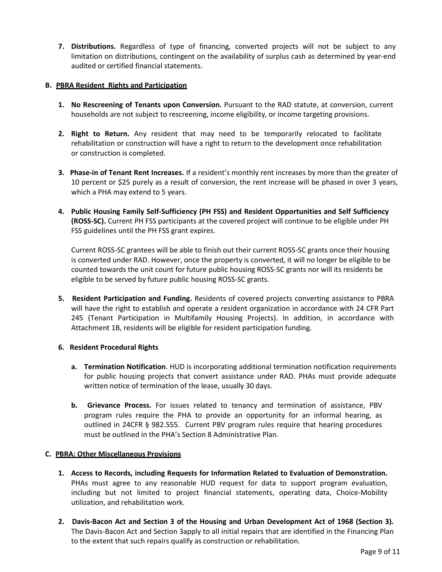**7. Distributions.** Regardless of type of financing, converted projects will not be subject to any limitation on distributions, contingent on the availability of surplus cash as determined by year-end audited or certified financial statements.

## **B. PBRA Resident Rights and Participation**

- **1. No Rescreening of Tenants upon Conversion.** Pursuant to the RAD statute, at conversion, current households are not subject to rescreening, income eligibility, or income targeting provisions.
- **2. Right to Return.** Any resident that may need to be temporarily relocated to facilitate rehabilitation or construction will have a right to return to the development once rehabilitation or construction is completed.
- **3. Phase-in of Tenant Rent Increases.** If a resident's monthly rent increases by more than the greater of 10 percent or \$25 purely as a result of conversion, the rent increase will be phased in over 3 years, which a PHA may extend to 5 years.
- **4. Public Housing Family Self-Sufficiency (PH FSS) and Resident Opportunities and Self Sufficiency (ROSS-SC).** Current PH FSS participants at the covered project will continue to be eligible under PH FSS guidelines until the PH FSS grant expires.

Current ROSS-SC grantees will be able to finish out their current ROSS-SC grants once their housing is converted under RAD. However, once the property is converted, it will no longer be eligible to be counted towards the unit count for future public housing ROSS-SC grants nor will its residents be eligible to be served by future public housing ROSS-SC grants.

**5. Resident Participation and Funding.** Residents of covered projects converting assistance to PBRA will have the right to establish and operate a resident organization in accordance with 24 CFR Part 245 (Tenant Participation in Multifamily Housing Projects). In addition, in accordance with Attachment 1B, residents will be eligible for resident participation funding.

### **6. Resident Procedural Rights**

- **a. Termination Notification**. HUD is incorporating additional termination notification requirements for public housing projects that convert assistance under RAD. PHAs must provide adequate written notice of termination of the lease, usually 30 days.
- **b. Grievance Process.** For issues related to tenancy and termination of assistance, PBV program rules require the PHA to provide an opportunity for an informal hearing, as outlined in 24CFR § 982.555. Current PBV program rules require that hearing procedures must be outlined in the PHA's Section 8 Administrative Plan.

### **C. PBRA: Other Miscellaneous Provisions**

- **1. Access to Records, including Requests for Information Related to Evaluation of Demonstration.** PHAs must agree to any reasonable HUD request for data to support program evaluation, including but not limited to project financial statements, operating data, Choice-Mobility utilization, and rehabilitation work.
- **2. Davis-Bacon Act and Section 3 of the Housing and Urban Development Act of 1968 (Section 3).**  The Davis-Bacon Act and Section 3apply to all initial repairs that are identified in the Financing Plan to the extent that such repairs qualify as construction or rehabilitation.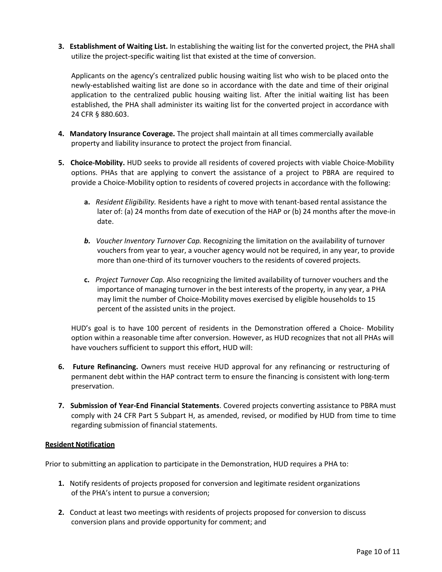**3. Establishment of Waiting List.** In establishing the waiting list for the converted project, the PHA shall utilize the project-specific waiting list that existed at the time of conversion.

Applicants on the agency's centralized public housing waiting list who wish to be placed onto the newly-established waiting list are done so in accordance with the date and time of their original application to the centralized public housing waiting list. After the initial waiting list has been established, the PHA shall administer its waiting list for the converted project in accordance with 24 CFR § 880.603.

- **4. Mandatory Insurance Coverage.** The project shall maintain at all times commercially available property and liability insurance to protect the project from financial.
- **5. Choice-Mobility.** HUD seeks to provide all residents of covered projects with viable Choice-Mobility options. PHAs that are applying to convert the assistance of a project to PBRA are required to provide a Choice-Mobility option to residents of covered projects in accordance with the following:
	- **a.** *Resident Eligibility.* Residents have a right to move with tenant-based rental assistance the later of: (a) 24 months from date of execution of the HAP or (b) 24 months after the move-in date.
	- **b.** Voucher Inventory Turnover Cap. Recognizing the limitation on the availability of turnover vouchers from year to year, a voucher agency would not be required, in any year, to provide more than one-third of its turnover vouchers to the residents of covered projects.
	- **c.** *Project Turnover Cap.* Also recognizing the limited availability of turnover vouchers and the importance of managing turnover in the best interests of the property, in any year, a PHA may limit the number of Choice-Mobility moves exercised by eligible households to 15 percent of the assisted units in the project.

HUD's goal is to have 100 percent of residents in the Demonstration offered a Choice- Mobility option within a reasonable time after conversion. However, as HUD recognizes that not all PHAs will have vouchers sufficient to support this effort, HUD will:

- **6. Future Refinancing.** Owners must receive HUD approval for any refinancing or restructuring of permanent debt within the HAP contract term to ensure the financing is consistent with long-term preservation.
- **7. Submission of Year-End Financial Statements**. Covered projects converting assistance to PBRA must comply with 24 CFR Part 5 Subpart H, as amended, revised, or modified by HUD from time to time regarding submission of financial statements.

### **Resident Notification**

Prior to submitting an application to participate in the Demonstration, HUD requires a PHA to:

- **1.** Notify residents of projects proposed for conversion and legitimate resident organizations of the PHA's intent to pursue a conversion;
- **2.** Conduct at least two meetings with residents of projects proposed for conversion to discuss conversion plans and provide opportunity for comment; and